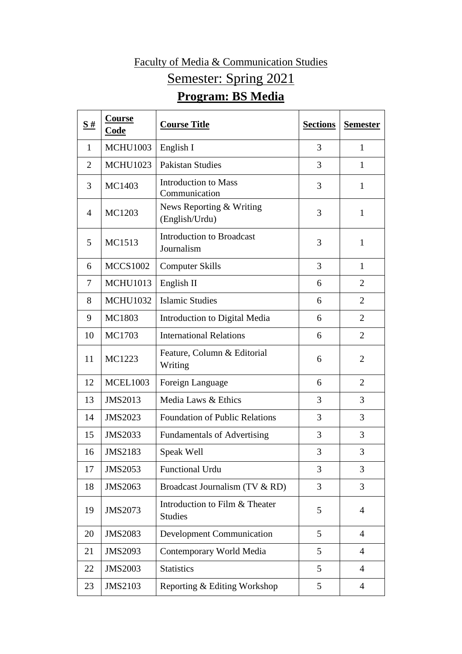## Faculty of Media & Communication Studies Semester: Spring 2021 **Program: BS Media**

| S#             | Course<br>Code  | <b>Course Title</b>                              | <b>Sections</b> | <b>Semester</b> |
|----------------|-----------------|--------------------------------------------------|-----------------|-----------------|
| 1              | <b>MCHU1003</b> | English I                                        | 3               | $\mathbf{1}$    |
| $\overline{2}$ | <b>MCHU1023</b> | <b>Pakistan Studies</b>                          | 3               | 1               |
| 3              | MC1403          | <b>Introduction to Mass</b><br>Communication     | 3               | $\mathbf{1}$    |
| 4              | MC1203          | News Reporting & Writing<br>(English/Urdu)       | 3               | $\mathbf{1}$    |
| 5              | MC1513          | <b>Introduction to Broadcast</b><br>Journalism   | 3               | $\mathbf{1}$    |
| 6              | <b>MCCS1002</b> | <b>Computer Skills</b>                           | 3               | $\mathbf{1}$    |
| 7              | <b>MCHU1013</b> | English II                                       | 6               | $\overline{2}$  |
| 8              | <b>MCHU1032</b> | <b>Islamic Studies</b>                           | 6               | $\overline{2}$  |
| 9              | MC1803          | Introduction to Digital Media                    | 6               | $\overline{2}$  |
| 10             | MC1703          | <b>International Relations</b>                   | 6               | $\overline{2}$  |
| 11             | MC1223          | Feature, Column & Editorial<br>Writing           | 6               | $\overline{2}$  |
| 12             | <b>MCEL1003</b> | Foreign Language                                 | 6               | $\overline{2}$  |
| 13             | <b>JMS2013</b>  | Media Laws & Ethics                              | 3               | 3               |
| 14             | <b>JMS2023</b>  | <b>Foundation of Public Relations</b>            | 3               | 3               |
| 15             | <b>JMS2033</b>  | <b>Fundamentals of Advertising</b>               | 3               | 3               |
| 16             | <b>JMS2183</b>  | Speak Well                                       | 3               | 3               |
| 17             | JMS2053         | <b>Functional Urdu</b>                           | 3               | 3               |
| 18             | JMS2063         | Broadcast Journalism (TV & RD)                   | 3               | 3               |
| 19             | JMS2073         | Introduction to Film & Theater<br><b>Studies</b> | 5               | $\overline{4}$  |
| 20             | <b>JMS2083</b>  | <b>Development Communication</b>                 | 5               | $\overline{4}$  |
| 21             | JMS2093         | Contemporary World Media                         | 5               | $\overline{4}$  |
| 22             | <b>JMS2003</b>  | <b>Statistics</b>                                | 5               | $\overline{4}$  |
| 23             | <b>JMS2103</b>  | Reporting & Editing Workshop                     | 5               | $\overline{4}$  |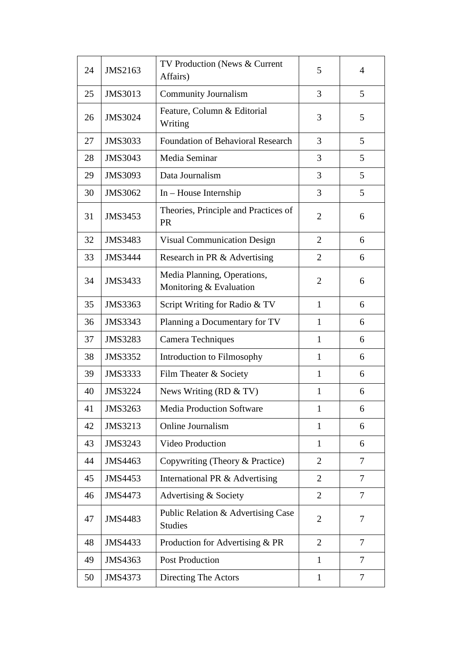| 24 | JMS2163        | TV Production (News & Current<br>Affairs)              | 5              | $\overline{4}$ |
|----|----------------|--------------------------------------------------------|----------------|----------------|
| 25 | JMS3013        | <b>Community Journalism</b>                            | 3              | 5              |
| 26 | <b>JMS3024</b> | Feature, Column & Editorial<br>Writing                 | 3              | 5              |
| 27 | JMS3033        | <b>Foundation of Behavioral Research</b>               | 3              | 5              |
| 28 | JMS3043        | Media Seminar                                          | 3              | 5              |
| 29 | <b>JMS3093</b> | Data Journalism                                        | 3              | 5              |
| 30 | JMS3062        | $In - House Internship$                                | 3              | 5              |
| 31 | JMS3453        | Theories, Principle and Practices of<br><b>PR</b>      | $\overline{2}$ | 6              |
| 32 | <b>JMS3483</b> | <b>Visual Communication Design</b>                     | $\overline{2}$ | 6              |
| 33 | <b>JMS3444</b> | Research in PR & Advertising                           | $\overline{2}$ | 6              |
| 34 | <b>JMS3433</b> | Media Planning, Operations,<br>Monitoring & Evaluation | $\overline{2}$ | 6              |
| 35 | JMS3363        | Script Writing for Radio & TV                          | $\mathbf{1}$   | 6              |
| 36 | JMS3343        | Planning a Documentary for TV                          | 1              | 6              |
| 37 | <b>JMS3283</b> | Camera Techniques                                      | $\mathbf{1}$   | 6              |
| 38 | JMS3352        | Introduction to Filmosophy                             | 1              | 6              |
| 39 | JMS3333        | Film Theater & Society                                 | $\mathbf{1}$   | 6              |
| 40 | <b>JMS3224</b> | News Writing (RD $&$ TV)                               | $\mathbf{1}$   | 6              |
| 41 | <b>JMS3263</b> | <b>Media Production Software</b>                       | 1              | 6              |
| 42 | JMS3213        | Online Journalism                                      | $\mathbf{1}$   | 6              |
| 43 | JMS3243        | <b>Video Production</b>                                | $\mathbf{1}$   | 6              |
| 44 | JMS4463        | Copywriting (Theory & Practice)                        | $\overline{2}$ | 7              |
| 45 | JMS4453        | International PR & Advertising                         | $\overline{2}$ | 7              |
| 46 | JMS4473        | Advertising & Society                                  | $\overline{2}$ | 7              |
| 47 | JMS4483        | Public Relation & Advertising Case<br><b>Studies</b>   | $\overline{2}$ | 7              |
| 48 | JMS4433        | Production for Advertising & PR                        | $\overline{2}$ | 7              |
| 49 | JMS4363        | <b>Post Production</b>                                 | $\mathbf{1}$   | 7              |
| 50 | JMS4373        | Directing The Actors                                   | $\mathbf{1}$   | 7              |